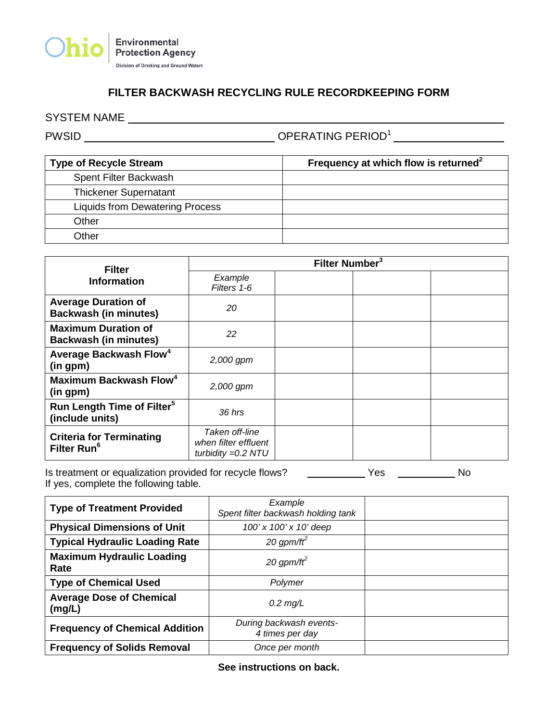

## **FILTER BACKWASH RECYCLING RULE RECORDKEEPING FORM**

PWSID OPERATING PERIOD1

| <b>Type of Recycle Stream</b>          | Frequency at which flow is returned <sup>2</sup> |
|----------------------------------------|--------------------------------------------------|
| Spent Filter Backwash                  |                                                  |
| <b>Thickener Supernatant</b>           |                                                  |
| <b>Liquids from Dewatering Process</b> |                                                  |
| Other                                  |                                                  |
| Other                                  |                                                  |

| <b>Filter</b><br><b>Information</b>                        | Filter Number <sup>3</sup>                                     |  |  |
|------------------------------------------------------------|----------------------------------------------------------------|--|--|
|                                                            | Example<br>Filters 1-6                                         |  |  |
| <b>Average Duration of</b><br><b>Backwash (in minutes)</b> | 20                                                             |  |  |
| <b>Maximum Duration of</b><br><b>Backwash (in minutes)</b> | 22                                                             |  |  |
| Average Backwash Flow <sup>4</sup><br>(in gpm)             | 2,000 gpm                                                      |  |  |
| Maximum Backwash Flow <sup>4</sup><br>(in gpm)             | 2,000 gpm                                                      |  |  |
| Run Length Time of Filter <sup>5</sup><br>(include units)  | 36 hrs                                                         |  |  |
| <b>Criteria for Terminating</b><br>Filter Run <sup>6</sup> | Taken off-line<br>when filter effluent<br>turbidity $=0.2$ NTU |  |  |

Is treatment or equalization provided for recycle flows? \_\_\_\_\_\_\_\_\_\_\_ Yes \_\_\_\_\_\_\_\_\_\_\_ No If yes, complete the following table.

| <b>Type of Treatment Provided</b>         | Example<br>Spent filter backwash holding tank |  |
|-------------------------------------------|-----------------------------------------------|--|
| <b>Physical Dimensions of Unit</b>        | 100' x 100' x 10' deep                        |  |
| <b>Typical Hydraulic Loading Rate</b>     | 20 gpm/ft <sup>2</sup>                        |  |
| <b>Maximum Hydraulic Loading</b><br>Rate  | 20 gpm/ft <sup>2</sup>                        |  |
| <b>Type of Chemical Used</b>              | Polymer                                       |  |
| <b>Average Dose of Chemical</b><br>(mg/L) | $0.2$ mg/L                                    |  |
| <b>Frequency of Chemical Addition</b>     | During backwash events-<br>4 times per day    |  |
| <b>Frequency of Solids Removal</b>        | Once per month                                |  |

**See instructions on back.**